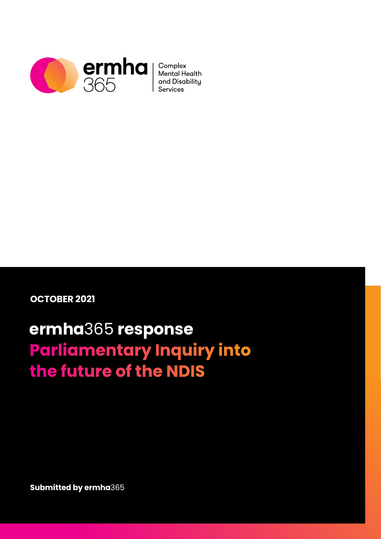

Mental Health and Disabilitu

**OCTOBER 2021**

# **ermha**365 **response Parliamentary Inquiry into** the future of the NDIS

**Submitted by ermha**365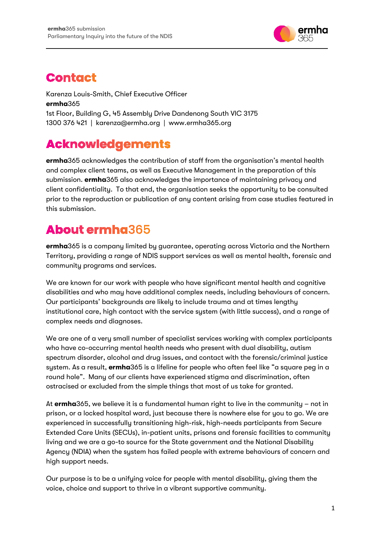

### <span id="page-1-0"></span>**Contact**

Karenza Louis-Smith, Chief Executive Officer **ermha**365 1st Floor, Building G, 45 Assembly Drive Dandenong South VIC 3175 1300 376 421 | karenza@ermha.org | www.ermha365.org

### <span id="page-1-1"></span>**Acknowledgements**

**ermha**365 acknowledges the contribution of staff from the organisation's mental health and complex client teams, as well as Executive Management in the preparation of this submission. **ermha**365 also acknowledges the importance of maintaining privacy and client confidentiality. To that end, the organisation seeks the opportunity to be consulted prior to the reproduction or publication of any content arising from case studies featured in this submission.

### <span id="page-1-2"></span>**About ermha**365

**ermha**365 is a company limited by guarantee, operating across Victoria and the Northern Territory, providing a range of NDIS support services as well as mental health, forensic and community programs and services.

We are known for our work with people who have significant mental health and cognitive disabilities and who may have additional complex needs, including behaviours of concern. Our participants' backgrounds are likely to include trauma and at times lengthy institutional care, high contact with the service system (with little success), and a range of complex needs and diagnoses.

We are one of a very small number of specialist services working with complex participants who have co-occurring mental health needs who present with dual disability, autism spectrum disorder, alcohol and drug issues, and contact with the forensic/criminal justice system. As a result, **ermha**365 is a lifeline for people who often feel like "a square peg in a round hole". Many of our clients have experienced stigma and discrimination, often ostracised or excluded from the simple things that most of us take for granted.

At **ermha**365, we believe it is a fundamental human right to live in the community – not in prison, or a locked hospital ward, just because there is nowhere else for you to go. We are experienced in successfully transitioning high-risk, high-needs participants from Secure Extended Care Units (SECUs), in-patient units, prisons and forensic facilities to community living and we are a go-to source for the State government and the National Disability Agency (NDIA) when the system has failed people with extreme behaviours of concern and high support needs.

Our purpose is to be a unifying voice for people with mental disability, giving them the voice, choice and support to thrive in a vibrant supportive community.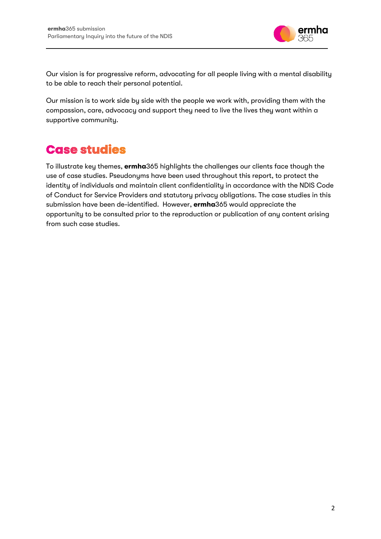

Our vision is for progressive reform, advocating for all people living with a mental disability to be able to reach their personal potential.

Our mission is to work side by side with the people we work with, providing them with the compassion, care, advocacy and support they need to live the lives they want within a supportive community.

### <span id="page-2-0"></span>**Case studies**

To illustrate key themes, **ermha**365 highlights the challenges our clients face though the use of case studies. Pseudonyms have been used throughout this report, to protect the identity of individuals and maintain client confidentiality in accordance with the NDIS Code of Conduct for Service Providers and statutory privacy obligations. The case studies in this submission have been de-identified. However, **ermha**365 would appreciate the opportunity to be consulted prior to the reproduction or publication of any content arising from such case studies.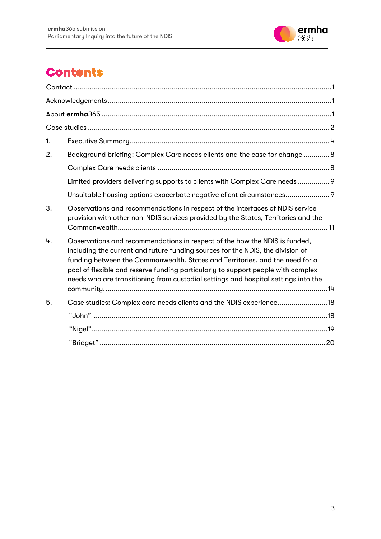

# **Contents**

| 1. |                                                                                                                                                                                                                                                                                                                                                                                                                        |
|----|------------------------------------------------------------------------------------------------------------------------------------------------------------------------------------------------------------------------------------------------------------------------------------------------------------------------------------------------------------------------------------------------------------------------|
| 2. | Background briefing: Complex Care needs clients and the case for change 8                                                                                                                                                                                                                                                                                                                                              |
|    |                                                                                                                                                                                                                                                                                                                                                                                                                        |
|    | Limited providers delivering supports to clients with Complex Care needs 9                                                                                                                                                                                                                                                                                                                                             |
|    | Unsuitable housing options exacerbate negative client circumstances 9                                                                                                                                                                                                                                                                                                                                                  |
| 3. | Observations and recommendations in respect of the interfaces of NDIS service<br>provision with other non-NDIS services provided by the States, Territories and the                                                                                                                                                                                                                                                    |
| 4. | Observations and recommendations in respect of the how the NDIS is funded,<br>including the current and future funding sources for the NDIS, the division of<br>funding between the Commonwealth, States and Territories, and the need for a<br>pool of flexible and reserve funding particularly to support people with complex<br>needs who are transitioning from custodial settings and hospital settings into the |
| 5. | Case studies: Complex care needs clients and the NDIS experience18                                                                                                                                                                                                                                                                                                                                                     |
|    |                                                                                                                                                                                                                                                                                                                                                                                                                        |
|    |                                                                                                                                                                                                                                                                                                                                                                                                                        |
|    |                                                                                                                                                                                                                                                                                                                                                                                                                        |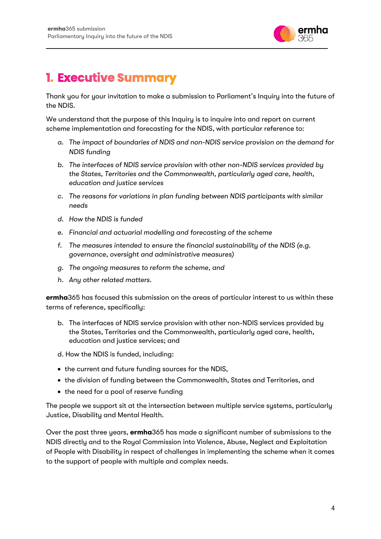

### <span id="page-4-0"></span>**1. Executive Summary**

Thank you for your invitation to make a submission to Parliament's Inquiry into the future of the NDIS.

We understand that the purpose of this Inquiry is to inquire into and report on current scheme implementation and forecasting for the NDIS, with particular reference to:

- *a. The impact of boundaries of NDIS and non-NDIS service provision on the demand for NDIS funding*
- *b. The interfaces of NDIS service provision with other non-NDIS services provided by the States, Territories and the Commonwealth, particularly aged care, health, education and justice services*
- *c. The reasons for variations in plan funding between NDIS participants with similar needs*
- *d. How the NDIS is funded*
- *e. Financial and actuarial modelling and forecasting of the scheme*
- *f. The measures intended to ensure the financial sustainability of the NDIS (e.g. governance, oversight and administrative measures)*
- *g. The ongoing measures to reform the scheme, and*
- *h. Any other related matters.*

**ermha**365 has focused this submission on the areas of particular interest to us within these terms of reference, specifically:

- b. The interfaces of NDIS service provision with other non-NDIS services provided by the States, Territories and the Commonwealth, particularly aged care, health, education and justice services; and
- d. How the NDIS is funded, including:
- the current and future funding sources for the NDIS,
- the division of funding between the Commonwealth, States and Territories, and
- the need for a pool of reserve funding

The people we support sit at the intersection between multiple service systems, particularly Justice, Disability and Mental Health.

Over the past three years, **ermha**365 has made a significant number of submissions to the NDIS directly and to the Royal Commission into Violence, Abuse, Neglect and Exploitation of People with Disability in respect of challenges in implementing the scheme when it comes to the support of people with multiple and complex needs.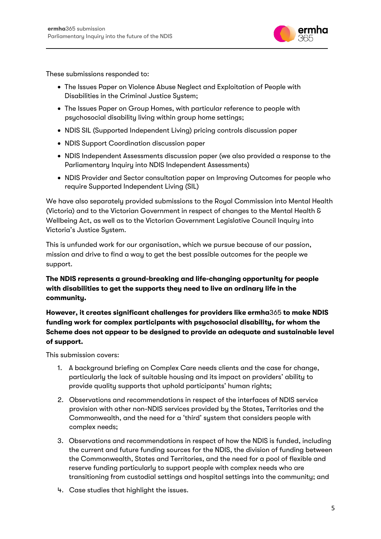

These submissions responded to:

- The Issues Paper on Violence Abuse Neglect and Exploitation of People with Disabilities in the Criminal Justice System;
- The Issues Paper on Group Homes, with particular reference to people with psychosocial disability living within group home settings;
- NDIS SIL (Supported Independent Living) pricing controls discussion paper
- NDIS Support Coordination discussion paper
- NDIS Independent Assessments discussion paper (we also provided a response to the Parliamentary Inquiry into NDIS Independent Assessments)
- NDIS Provider and Sector consultation paper on Improving Outcomes for people who require Supported Independent Living (SIL)

We have also separately provided submissions to the Royal Commission into Mental Health (Victoria) and to the Victorian Government in respect of changes to the Mental Health & Wellbeing Act, as well as to the Victorian Government Legislative Council Inquiry into Victoria's Justice System.

This is unfunded work for our organisation, which we pursue because of our passion, mission and drive to find a way to get the best possible outcomes for the people we support.

**The NDIS represents a ground-breaking and life-changing opportunity for people with disabilities to get the supports they need to live an ordinary life in the community.** 

**However, it creates significant challenges for providers like ermha**365 **to make NDIS funding work for complex participants with psychosocial disability, for whom the Scheme does not appear to be designed to provide an adequate and sustainable level of support.**

This submission covers:

- 1. A background briefing on Complex Care needs clients and the case for change, particularly the lack of suitable housing and its impact on providers' ability to provide quality supports that uphold participants' human rights;
- 2. Observations and recommendations in respect of the interfaces of NDIS service provision with other non-NDIS services provided by the States, Territories and the Commonwealth, and the need for a 'third' system that considers people with complex needs;
- 3. Observations and recommendations in respect of how the NDIS is funded, including the current and future funding sources for the NDIS, the division of funding between the Commonwealth, States and Territories, and the need for a pool of flexible and reserve funding particularly to support people with complex needs who are transitioning from custodial settings and hospital settings into the community; and
- 4. Case studies that highlight the issues.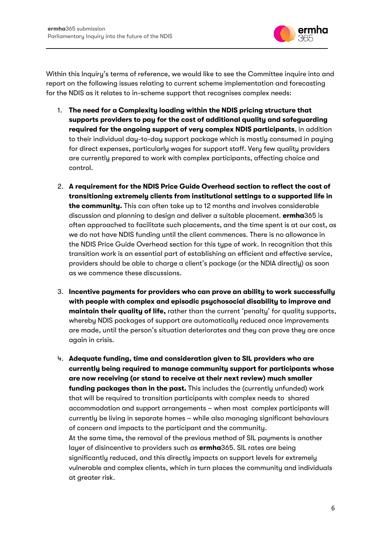

Within this Inquiry's terms of reference, we would like to see the Committee inquire into and report on the following issues relating to current scheme implementation and forecasting for the NDIS as it relates to in-scheme support that recognises complex needs:

- 1. **The need for a Complexity loading within the NDIS pricing structure that supports providers to pay for the cost of additional quality and safeguarding required for the ongoing support of very complex NDIS participants**, in addition to their individual day-to-day support package which is mostly consumed in paying for direct expenses, particularly wages for support staff. Very few quality providers are currently prepared to work with complex participants, affecting choice and control.
- 2. **A requirement for the NDIS Price Guide Overhead section to reflect the cost of transitioning extremely clients from institutional settings to a supported life in the community.** This can often take up to 12 months and involves considerable discussion and planning to design and deliver a suitable placement. **ermha**365 is often approached to facilitate such placements, and the time spent is at our cost, as we do not have NDIS funding until the client commences. There is no allowance in the NDIS Price Guide Overhead section for this type of work. In recognition that this transition work is an essential part of establishing an efficient and effective service, providers should be able to charge a client's package (or the NDIA directly) as soon as we commence these discussions.
- 3. **Incentive payments for providers who can prove an ability to work successfully with people with complex and episodic psychosocial disability to improve and maintain their quality of life,** rather than the current 'penalty' for quality supports, whereby NDIS packages of support are automatically reduced once improvements are made, until the person's situation deteriorates and they can prove they are once again in crisis.
- 4. **Adequate funding, time and consideration given to SIL providers who are currently being required to manage community support for participants whose are now receiving (or stand to receive at their next review) much smaller funding packages than in the past.** This includes the (currently unfunded) work that will be required to transition participants with complex needs to shared accommodation and support arrangements – when most complex participants will currently be living in separate homes – while also managing significant behaviours of concern and impacts to the participant and the community. At the same time, the removal of the previous method of SIL payments is another layer of disincentive to providers such as **ermha**365. SIL rates are being significantly reduced, and this directly impacts on support levels for extremely vulnerable and complex clients, which in turn places the community and individuals at greater risk.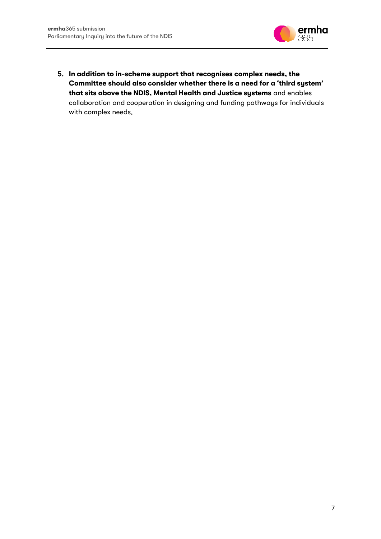

5. **In addition to in-scheme support that recognises complex needs, the Committee should also consider whether there is a need for a 'third system' that sits above the NDIS, Mental Health and Justice systems** and enables collaboration and cooperation in designing and funding pathways for individuals with complex needs.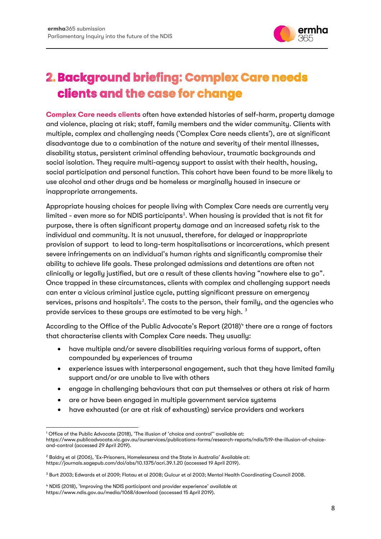

# <span id="page-8-0"></span>2. Background briefing: Complex Care needs clients and the case for change

<span id="page-8-1"></span>**Complex Care needs clients** often have extended histories of self-harm, property damage and violence, placing at risk; staff, family members and the wider community. Clients with multiple, complex and challenging needs ('Complex Care needs clients'), are at significant disadvantage due to a combination of the nature and severity of their mental illnesses, disability status, persistent criminal offending behaviour, traumatic backgrounds and social isolation. They require multi-agency support to assist with their health, housing, social participation and personal function. This cohort have been found to be more likely to use alcohol and other drugs and be homeless or marginally housed in insecure or inappropriate arrangements.

Appropriate housing choices for people living with Complex Care needs are currently very limited - even more so for NDIS participants<sup>[1](#page-8-2)</sup>. When housing is provided that is not fit for purpose, there is often significant property damage and an increased safety risk to the individual and community. It is not unusual, therefore, for delayed or inappropriate provision of support to lead to long-term hospitalisations or incarcerations, which present severe infringements on an individual's human rights and significantly compromise their ability to achieve life goals. These prolonged admissions and detentions are often not clinically or legally justified, but are a result of these clients having "nowhere else to go". Once trapped in these circumstances, clients with complex and challenging support needs can enter a vicious criminal justice cycle, putting significant pressure on emergency services, prisons and hospitals<sup>[2](#page-8-3)</sup>. The costs to the person, their family, and the agencies who provide services to these groups are estimated to be very high.<sup>[3](#page-8-4)</sup>

According to the Office of the Public Advocate's Report (2018)<sup>[4](#page-8-5)</sup> there are a range of factors that characterise clients with Complex Care needs. They usually:

- have multiple and/or severe disabilities requiring various forms of support, often compounded by experiences of trauma
- experience issues with interpersonal engagement, such that they have limited family support and/or are unable to live with others
- engage in challenging behaviours that can put themselves or others at risk of harm
- are or have been engaged in multiple government service systems
- have exhausted (or are at risk of exhausting) service providers and workers

<span id="page-8-2"></span><sup>1</sup> Office of the Public Advocate (2018), 'The illusion of 'choice and control'' available at: https://www.publicadvocate.vic.gov.au/ourservices/publications-forms/research-reports/ndis/519-the-illusion-of-choiceand-control (accessed 29 April 2019).

<span id="page-8-3"></span><sup>&</sup>lt;sup>2</sup> Baldry et al (2006), 'Ex-Prisoners, Homelessness and the State in Australia' Available at: https://journals.sagepub.com/doi/abs/10.1375/acri.39.1.20 (accessed 19 April 2019).

<span id="page-8-4"></span><sup>3</sup> Burt 2003; Edwards et al 2009; Flatau et al 2008; Gulcur et al 2003; Mental Health Coordinating Council 2008.

<span id="page-8-5"></span><sup>4</sup> NDIS (2018), 'Improving the NDIS participant and provider experience' available at https://www.ndis.gov.au/media/1068/download (accessed 15 April 2019).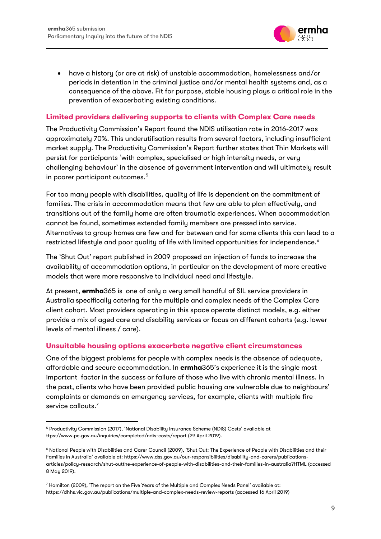

• have a history (or are at risk) of unstable accommodation, homelessness and/or periods in detention in the criminal justice and/or mental health systems and, as a consequence of the above. Fit for purpose, stable housing plays a critical role in the prevention of exacerbating existing conditions.

#### <span id="page-9-0"></span>**Limited providers delivering supports to clients with Complex Care needs**

The Productivity Commission's Report found the NDIS utilisation rate in 2016-2017 was approximately 70%. This underutilisation results from several factors, including insufficient market supply. The Productivity Commission's Report further states that Thin Markets will persist for participants 'with complex, specialised or high intensity needs, or very challenging behaviour' in the absence of government intervention and will ultimately result in poorer participant outcomes.<sup>[5](#page-9-2)</sup>

For too many people with disabilities, quality of life is dependent on the commitment of families. The crisis in accommodation means that few are able to plan effectively, and transitions out of the family home are often traumatic experiences. When accommodation cannot be found, sometimes extended family members are pressed into service. Alternatives to group homes are few and far between and for some clients this can lead to a restricted lifestyle and poor quality of life with limited opportunities for independence.<sup>[6](#page-9-3)</sup>

The 'Shut Out' report published in 2009 proposed an injection of funds to increase the availability of accommodation options, in particular on the development of more creative models that were more responsive to individual need and lifestyle.

At present, **ermha**365 is one of only a very small handful of SIL service providers in Australia specifically catering for the multiple and complex needs of the Complex Care client cohort. Most providers operating in this space operate distinct models, e.g. either provide a mix of aged care and disability services or focus on different cohorts (e.g. lower levels of mental illness / care).

#### <span id="page-9-1"></span>**Unsuitable housing options exacerbate negative client circumstances**

One of the biggest problems for people with complex needs is the absence of adequate, affordable and secure accommodation. In **ermha**365's experience it is the single most important factor in the success or failure of those who live with chronic mental illness. In the past, clients who have been provided public housing are vulnerable due to neighbours' complaints or demands on emergency services, for example, clients with multiple fire service callouts.<sup>[7](#page-9-4)</sup>

<span id="page-9-2"></span><sup>5</sup> Productivity Commission (2017), 'National Disability Insurance Scheme (NDIS) Costs' available at ttps://www.pc.gov.au/inquiries/completed/ndis-costs/report (29 April 2019).

<span id="page-9-3"></span><sup>6</sup> National People with Disabilities and Carer Council (2009), 'Shut Out: The Experience of People with Disabilities and their Families in Australia' available at: https://www.dss.gov.au/our-responsibilities/disability-and-carers/publicationsarticles/policy-research/shut-outthe-experience-of-people-with-disabilities-and-their-families-in-australia?HTML (accessed 8 May 2019).

<span id="page-9-4"></span><sup>7</sup> Hamilton (2009), 'The report on the Five Years of the Multiple and Complex Needs Panel' available at: https://dhhs.vic.gov.au/publications/multiple-and-complex-needs-review-reports (accessed 16 April 2019)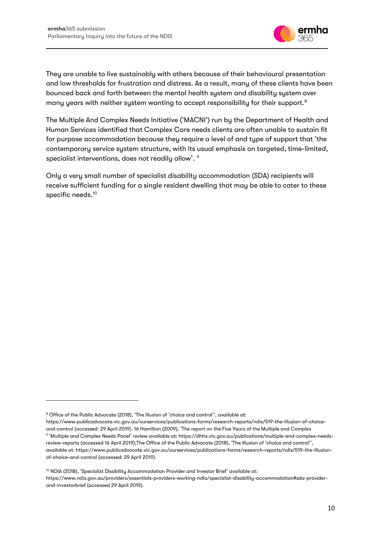

They are unable to live sustainably with others because of their behavioural presentation and low thresholds for frustration and distress. As a result, many of these clients have been bounced back and forth between the mental health system and disability system over many years with neither system wanting to accept responsibility for their support.<sup>[8](#page-10-0)</sup>

The Multiple And Complex Needs Initiative ('MACNI') run by the Department of Health and Human Services identified that Complex Care needs clients are often unable to sustain fit for purpose accommodation because they require a level of and type of support that 'the contemporary service system structure, with its usual emphasis on targeted, time-limited, specialist interventions, does not readily allow'. [9](#page-10-1)

Only a very small number of specialist disability accommodation (SDA) recipients will receive sufficient funding for a single resident dwelling that may be able to cater to these specific needs.<sup>[10](#page-10-2)</sup>

<span id="page-10-0"></span><sup>&</sup>lt;sup>8</sup> Office of the Public Advocate (2018), 'The illusion of 'choice and control'', available at:

<span id="page-10-1"></span>https://www.publicadvocate.vic.gov.au/ourservices/publications-forms/research-reports/ndis/519-the-illusion-of-choiceand-control (accessed: 29 April 2019). 16 Hamilton (2009), 'The report on the Five Years of the Multiple and Complex <sup>9</sup> 'Multiple and Complex Needs Panel' review available at: https://dhhs.vic.gov.au/publications/multiple-and-complex-needsreview-reports (accessed 16 April 2019);The Office of the Public Advocate (2018), 'The illusion of 'choice and control'', available at: https://www.publicadvocate.vic.gov.au/ourservices/publications-forms/research-reports/ndis/519-the-illusionof-choice-and-control (accessed: 29 April 2019).

<span id="page-10-2"></span><sup>10</sup> NDIA (2018), 'Specialist Disability Accommodation Provider and Investor Brief' available at: https://www.ndis.gov.au/providers/essentials-providers-working-ndia/specialist-disability-accommodation#sda-providerand-investorbrief (accessed 29 April 2019).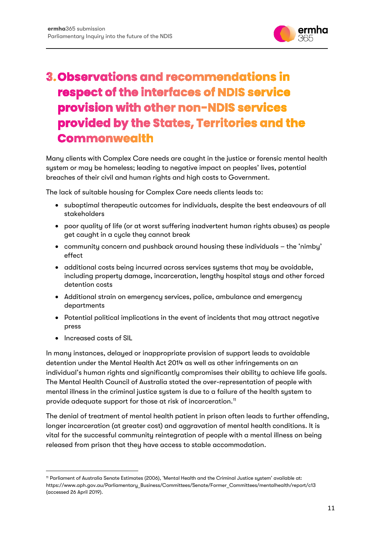

### <span id="page-11-0"></span>**3. Observations and recommendations in** respect of the interfaces of NDIS service provision with other non-NDIS services provided by the States, Territories and the **Commonwealth**

Many clients with Complex Care needs are caught in the justice or forensic mental health system or may be homeless; leading to negative impact on peoples' lives, potential breaches of their civil and human rights and high costs to Government.

The lack of suitable housing for Complex Care needs clients leads to:

- suboptimal therapeutic outcomes for individuals, despite the best endeavours of all stakeholders
- poor quality of life (or at worst suffering inadvertent human rights abuses) as people get caught in a cycle they cannot break
- community concern and pushback around housing these individuals the 'nimby' effect
- additional costs being incurred across services systems that may be avoidable, including property damage, incarceration, lengthy hospital stays and other forced detention costs
- Additional strain on emergency services, police, ambulance and emergency departments
- Potential political implications in the event of incidents that may attract negative press
- Increased costs of SIL

In many instances, delayed or inappropriate provision of support leads to avoidable detention under the Mental Health Act 2014 as well as other infringements on an individual's human rights and significantly compromises their ability to achieve life goals. The Mental Health Council of Australia stated the over-representation of people with mental illness in the criminal justice system is due to a failure of the health system to provide adequate support for those at risk of incarceration.<sup>11</sup>

The denial of treatment of mental health patient in prison often leads to further offending, longer incarceration (at greater cost) and aggravation of mental health conditions. It is vital for the successful community reintegration of people with a mental illness on being released from prison that they have access to stable accommodation.

<span id="page-11-1"></span><sup>11</sup> Parliament of Australia Senate Estimates (2006), 'Mental Health and the Criminal Justice system' available at: https://www.aph.gov.au/Parliamentary\_Business/Committees/Senate/Former\_Committees/mentalhealth/report/c13 (accessed 26 April 2019).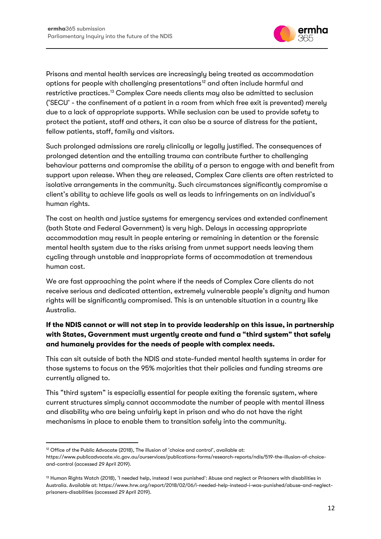

Prisons and mental health services are increasingly being treated as accommodation options for people with challenging presentations<sup>12</sup> and often include harmful and restrictive practices[.13](#page-12-1) Complex Care needs clients may also be admitted to seclusion ('SECU' - the confinement of a patient in a room from which free exit is prevented) merely due to a lack of appropriate supports. While seclusion can be used to provide safety to protect the patient, staff and others, it can also be a source of distress for the patient, fellow patients, staff, family and visitors.

Such prolonged admissions are rarely clinically or legally justified. The consequences of prolonged detention and the entailing trauma can contribute further to challenging behaviour patterns and compromise the ability of a person to engage with and benefit from support upon release. When they are released, Complex Care clients are often restricted to isolative arrangements in the community. Such circumstances significantly compromise a client's ability to achieve life goals as well as leads to infringements on an individual's human rights.

The cost on health and justice systems for emergency services and extended confinement (both State and Federal Government) is very high. Delays in accessing appropriate accommodation may result in people entering or remaining in detention or the forensic mental health system due to the risks arising from unmet support needs leaving them cycling through unstable and inappropriate forms of accommodation at tremendous human cost.

We are fast approaching the point where if the needs of Complex Care clients do not receive serious and dedicated attention, extremely vulnerable people's dignity and human rights will be significantly compromised. This is an untenable situation in a country like Australia.

#### **If the NDIS cannot or will not step in to provide leadership on this issue, in partnership with States, Government must urgently create and fund a "third system" that safely and humanely provides for the needs of people with complex needs.**

This can sit outside of both the NDIS and state-funded mental health systems in order for those systems to focus on the 95% majorities that their policies and funding streams are currently aligned to.

This "third system" is especially essential for people exiting the forensic system, where current structures simply cannot accommodate the number of people with mental illness and disability who are being unfairly kept in prison and who do not have the right mechanisms in place to enable them to transition safely into the community.

<span id="page-12-0"></span><sup>&</sup>lt;sup>12</sup> Office of the Public Advocate (2018), The illusion of 'choice and control', available at: https://www.publicadvocate.vic.gov.au/ourservices/publications-forms/research-reports/ndis/519-the-illusion-of-choiceand-control (accessed 29 April 2019).

<span id="page-12-1"></span><sup>&</sup>lt;sup>13</sup> Human Rights Watch (2018), 'I needed help, instead I was punished': Abuse and neglect or Prisoners with disabilities in Australia. Available at: https://www.hrw.org/report/2018/02/06/i-needed-help-instead-i-was-punished/abuse-and-neglectprisoners-disabilities (accessed 29 April 2019).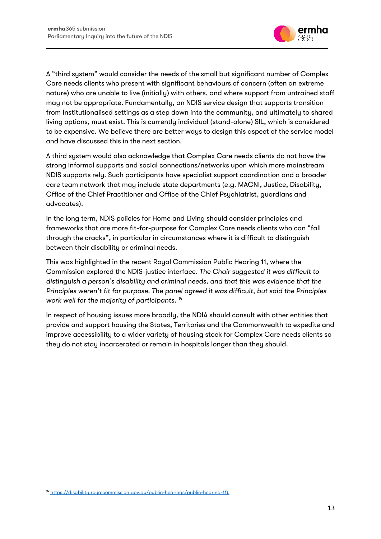

A "third system" would consider the needs of the small but significant number of Complex Care needs clients who present with significant behaviours of concern (often an extreme nature) who are unable to live (initially) with others, and where support from untrained staff may not be appropriate. Fundamentally, an NDIS service design that supports transition from Institutionalised settings as a step down into the community, and ultimately to shared living options, must exist. This is currently individual (stand-alone) SIL, which is considered to be expensive. We believe there are better ways to design this aspect of the service model and have discussed this in the next section.

A third system would also acknowledge that Complex Care needs clients do not have the strong informal supports and social connections/networks upon which more mainstream NDIS supports rely. Such participants have specialist support coordination and a broader care team network that may include state departments (e.g. MACNI, Justice, Disability, Office of the Chief Practitioner and Office of the Chief Psychiatrist, guardians and advocates).

In the long term, NDIS policies for Home and Living should consider principles and frameworks that are more fit-for-purpose for Complex Care needs clients who can "fall through the cracks", in particular in circumstances where it is difficult to distinguish between their disability or criminal needs.

This was highlighted in the recent Royal Commission Public Hearing 11, where the Commission explored the NDIS-justice interface. *The Chair suggested it was difficult to distinguish a person's disability and criminal needs, and that this was evidence that the Principles weren't fit for purpose. The panel agreed it was difficult, but said the Principles work well for the majority of participants. [14](#page-13-0)*

In respect of housing issues more broadly, the NDIA should consult with other entities that provide and support housing the States, Territories and the Commonwealth to expedite and improve accessibility to a wider variety of housing stock for Complex Care needs clients so they do not stay incarcerated or remain in hospitals longer than they should.

<span id="page-13-0"></span><sup>&</sup>lt;sup>14</sup> [https://disability.royalcommission.gov.au/public-hearings/public-hearing-11\).](https://disability.royalcommission.gov.au/public-hearings/public-hearing-11))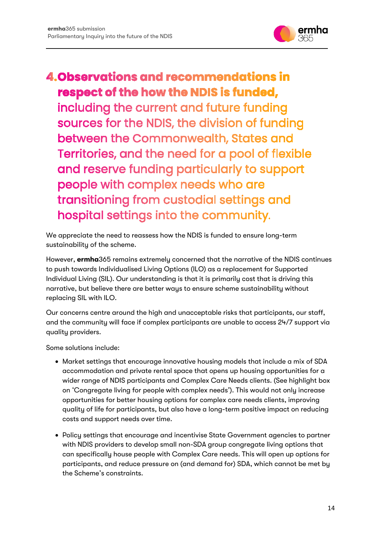

### <span id="page-14-0"></span>**4. Observations and recommendations in** respect of the how the NDIS is funded,

including the current and future funding sources for the NDIS, the division of funding between the Commonwealth, States and Territories, and the need for a pool of flexible and reserve funding particularly to support people with complex needs who are transitioning from custodial settings and hospital settings into the community.

We appreciate the need to reassess how the NDIS is funded to ensure long-term sustainability of the scheme.

However, **ermha**365 remains extremely concerned that the narrative of the NDIS continues to push towards Individualised Living Options (ILO) as a replacement for Supported Individual Living (SIL). Our understanding is that it is primarily cost that is driving this narrative, but believe there are better ways to ensure scheme sustainability without replacing SIL with ILO.

Our concerns centre around the high and unacceptable risks that participants, our staff, and the community will face if complex participants are unable to access 24/7 support via quality providers.

Some solutions include:

- Market settings that encourage innovative housing models that include a mix of SDA accommodation and private rental space that opens up housing opportunities for a wider range of NDIS participants and Complex Care Needs clients. (See highlight box on 'Congregate living for people with complex needs'). This would not only increase opportunities for better housing options for complex care needs clients, improving quality of life for participants, but also have a long-term positive impact on reducing costs and support needs over time.
- Policy settings that encourage and incentivise State Government agencies to partner with NDIS providers to develop small non-SDA group congregate living options that can specifically house people with Complex Care needs. This will open up options for participants, and reduce pressure on (and demand for) SDA, which cannot be met by the Scheme's constraints.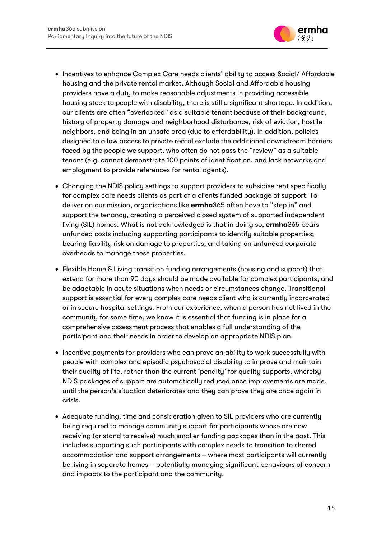

- Incentives to enhance Complex Care needs clients' ability to access Social/ Affordable housing and the private rental market. Although Social and Affordable housing providers have a duty to make reasonable adjustments in providing accessible housing stock to people with disability, there is still a significant shortage. In addition, our clients are often "overlooked" as a suitable tenant because of their background, history of property damage and neighborhood disturbance, risk of eviction, hostile neighbors, and being in an unsafe area (due to affordability). In addition, policies designed to allow access to private rental exclude the additional downstream barriers faced by the people we support, who often do not pass the "review" as a suitable tenant (e.g. cannot demonstrate 100 points of identification, and lack networks and employment to provide references for rental agents).
- Changing the NDIS policy settings to support providers to subsidise rent specifically for complex care needs clients as part of a clients funded package of support. To deliver on our mission, organisations like **ermha**365 often have to "step in" and support the tenancy, creating a perceived closed system of supported independent living (SIL) homes. What is not acknowledged is that in doing so, **ermha**365 bears unfunded costs including supporting participants to identify suitable properties; bearing liability risk on damage to properties; and taking on unfunded corporate overheads to manage these properties.
- Flexible Home & Living transition funding arrangements (housing and support) that extend for more than 90 days should be made available for complex participants, and be adaptable in acute situations when needs or circumstances change. Transitional support is essential for every complex care needs client who is currently incarcerated or in secure hospital settings. From our experience, when a person has not lived in the community for some time, we know it is essential that funding is in place for a comprehensive assessment process that enables a full understanding of the participant and their needs in order to develop an appropriate NDIS plan.
- Incentive payments for providers who can prove an ability to work successfully with people with complex and episodic psychosocial disability to improve and maintain their quality of life, rather than the current 'penalty' for quality supports, whereby NDIS packages of support are automatically reduced once improvements are made, until the person's situation deteriorates and they can prove they are once again in crisis.
- Adequate funding, time and consideration given to SIL providers who are currently being required to manage community support for participants whose are now receiving (or stand to receive) much smaller funding packages than in the past. This includes supporting such participants with complex needs to transition to shared accommodation and support arrangements – where most participants will currently be living in separate homes – potentially managing significant behaviours of concern and impacts to the participant and the community.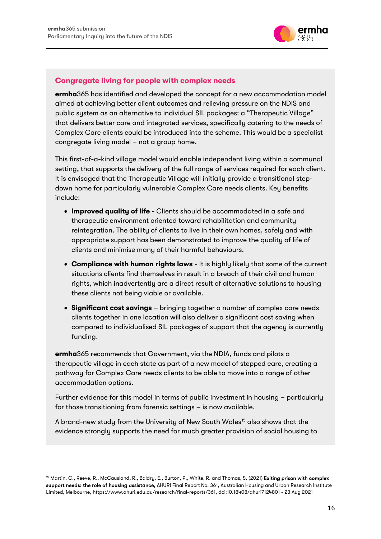

#### **Congregate living for people with complex needs**

**ermha**365 has identified and developed the concept for a new accommodation model aimed at achieving better client outcomes and relieving pressure on the NDIS and public system as an alternative to individual SIL packages: a "Therapeutic Village" that delivers better care and integrated services, specifically catering to the needs of Complex Care clients could be introduced into the scheme. This would be a specialist congregate living model – not a group home.

This first-of-a-kind village model would enable independent living within a communal setting, that supports the delivery of the full range of services required for each client. It is envisaged that the Therapeutic Village will initially provide a transitional stepdown home for particularly vulnerable Complex Care needs clients. Key benefits include:

- **Improved quality of life** Clients should be accommodated in a safe and therapeutic environment oriented toward rehabilitation and community reintegration. The ability of clients to live in their own homes, safely and with appropriate support has been demonstrated to improve the quality of life of clients and minimise many of their harmful behaviours.
- **Compliance with human rights laws** It is highly likely that some of the current situations clients find themselves in result in a breach of their civil and human rights, which inadvertently are a direct result of alternative solutions to housing these clients not being viable or available.
- **Significant cost savings** bringing together a number of complex care needs clients together in one location will also deliver a significant cost saving when compared to individualised SIL packages of support that the agency is currently funding.

**ermha**365 recommends that Government, via the NDIA, funds and pilots a therapeutic village in each state as part of a new model of stepped care, creating a pathway for Complex Care needs clients to be able to move into a range of other accommodation options.

Further evidence for this model in terms of public investment in housing – particularly for those transitioning from forensic settings – is now available.

A brand-new study from the University of New South Wales<sup>[15](#page-16-0)</sup> also shows that the evidence strongly supports the need for much greater provision of social housing to

<span id="page-16-0"></span><sup>&</sup>lt;sup>15</sup> Martin, C., Reeve, R., McCausland, R., Baldry, E., Burton, P., White, R. and Thomas, S. (2021) Exiting prison with complex support needs: the role of housing assistance, AHURI Final Report No. 361, Australian Housing and Urban Research Institute Limited, Melbourne, https://www.ahuri.edu.au/research/final-reports/361, doi:10.18408/ahuri7124801 - 23 Aug 2021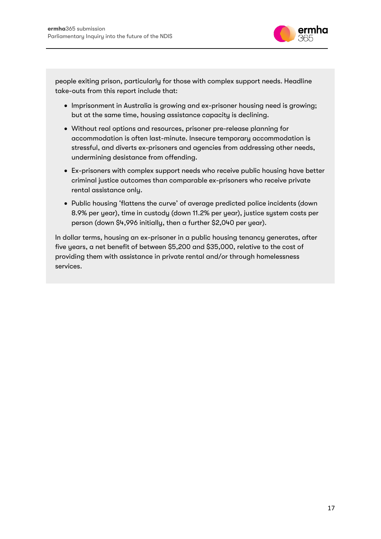

people exiting prison, particularly for those with complex support needs. Headline take-outs from this report include that:

- Imprisonment in Australia is growing and ex-prisoner housing need is growing; but at the same time, housing assistance capacity is declining.
- Without real options and resources, prisoner pre-release planning for accommodation is often last-minute. Insecure temporary accommodation is stressful, and diverts ex-prisoners and agencies from addressing other needs, undermining desistance from offending.
- Ex-prisoners with complex support needs who receive public housing have better criminal justice outcomes than comparable ex-prisoners who receive private rental assistance only.
- Public housing 'flattens the curve' of average predicted police incidents (down 8.9% per year), time in custody (down 11.2% per year), justice system costs per person (down \$4,996 initially, then a further \$2,040 per year).

In dollar terms, housing an ex-prisoner in a public housing tenancy generates, after five years, a net benefit of between \$5,200 and \$35,000, relative to the cost of providing them with assistance in private rental and/or through homelessness services.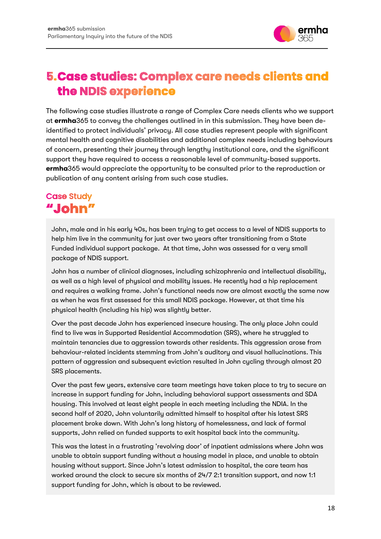

### <span id="page-18-0"></span>**5. Case studies: Complex care needs clients and** the NDIS experience

The following case studies illustrate a range of Complex Care needs clients who we support at **ermha**365 to convey the challenges outlined in in this submission. They have been deidentified to protect individuals' privacy. All case studies represent people with significant mental health and cognitive disabilities and additional complex needs including behaviours of concern, presenting their journey through lengthy institutional care, and the significant support they have required to access a reasonable level of community-based supports. **ermha**365 would appreciate the opportunity to be consulted prior to the reproduction or publication of any content arising from such case studies.

### <span id="page-18-1"></span>**Case Study** "John"

John, male and in his early 40s, has been trying to get access to a level of NDIS supports to help him live in the community for just over two years after transitioning from a State Funded individual support package. At that time, John was assessed for a very small package of NDIS support.

John has a number of clinical diagnoses, including schizophrenia and intellectual disability, as well as a high level of physical and mobility issues. He recently had a hip replacement and requires a walking frame. John's functional needs now are almost exactly the same now as when he was first assessed for this small NDIS package. However, at that time his physical health (including his hip) was slightly better.

Over the past decade John has experienced insecure housing. The only place John could find to live was in Supported Residential Accommodation (SRS), where he struggled to maintain tenancies due to aggression towards other residents. This aggression arose from behaviour-related incidents stemming from John's auditory and visual hallucinations. This pattern of aggression and subsequent eviction resulted in John cycling through almost 20 SRS placements.

Over the past few years, extensive care team meetings have taken place to try to secure an increase in support funding for John, including behavioral support assessments and SDA housing. This involved at least eight people in each meeting including the NDIA. In the second half of 2020, John voluntarily admitted himself to hospital after his latest SRS placement broke down. With John's long history of homelessness, and lack of formal supports, John relied on funded supports to exit hospital back into the community.

This was the latest in a frustrating 'revolving door' of inpatient admissions where John was unable to obtain support funding without a housing model in place, and unable to obtain housing without support. Since John's latest admission to hospital, the care team has worked around the clock to secure six months of 24/7 2:1 transition support, and now 1:1 support funding for John, which is about to be reviewed.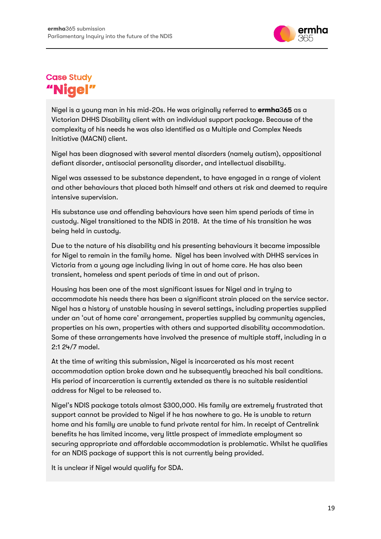

### <span id="page-19-0"></span>**Case Study** Nia

Nigel is a young man in his mid-20s. He was originally referred to **ermha**365 as a Victorian DHHS Disability client with an individual support package. Because of the complexity of his needs he was also identified as a Multiple and Complex Needs Initiative (MACNI) client.

Nigel has been diagnosed with several mental disorders (namely autism), oppositional defiant disorder, antisocial personality disorder, and intellectual disability.

Nigel was assessed to be substance dependent, to have engaged in a range of violent and other behaviours that placed both himself and others at risk and deemed to require intensive supervision.

His substance use and offending behaviours have seen him spend periods of time in custody. Nigel transitioned to the NDIS in 2018. At the time of his transition he was being held in custody.

Due to the nature of his disability and his presenting behaviours it became impossible for Nigel to remain in the family home. Nigel has been involved with DHHS services in Victoria from a young age including living in out of home care. He has also been transient, homeless and spent periods of time in and out of prison.

Housing has been one of the most significant issues for Nigel and in trying to accommodate his needs there has been a significant strain placed on the service sector. Nigel has a history of unstable housing in several settings, including properties supplied under an 'out of home care' arrangement, properties supplied by community agencies, properties on his own, properties with others and supported disability accommodation. Some of these arrangements have involved the presence of multiple staff, including in a 2:1 24/7 model.

At the time of writing this submission, Nigel is incarcerated as his most recent accommodation option broke down and he subsequently breached his bail conditions. His period of incarceration is currently extended as there is no suitable residential address for Nigel to be released to.

Nigel's NDIS package totals almost \$300,000. His family are extremely frustrated that support cannot be provided to Nigel if he has nowhere to go. He is unable to return home and his family are unable to fund private rental for him. In receipt of Centrelink benefits he has limited income, very little prospect of immediate employment so securing appropriate and affordable accommodation is problematic. Whilst he qualifies for an NDIS package of support this is not currently being provided.

It is unclear if Nigel would qualify for SDA.